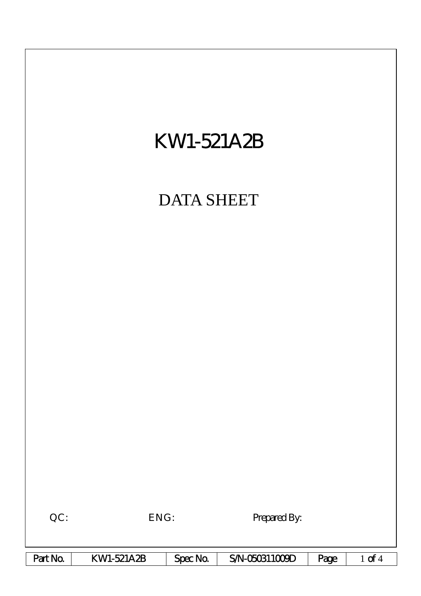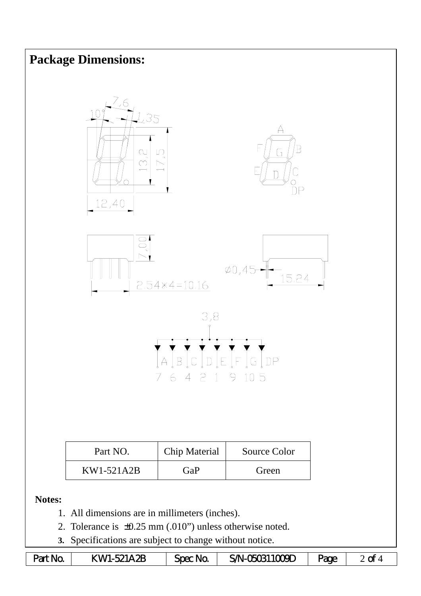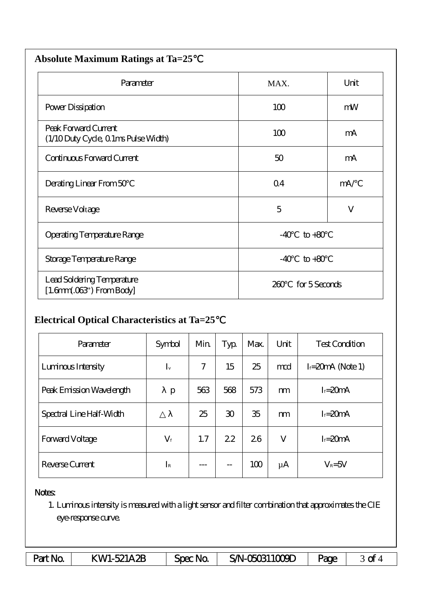| <b>Absolute Maximum Ratings at Ta=25</b>                     |                      |              |  |  |  |  |  |
|--------------------------------------------------------------|----------------------|--------------|--|--|--|--|--|
| Parameter                                                    | MAX.                 |              |  |  |  |  |  |
| Power Dissipation                                            | 100                  | mW           |  |  |  |  |  |
| Peak Forward Current<br>(1/10 Duty Cycle, 0 1ms Pulse Width) | 100                  | mA           |  |  |  |  |  |
| Continuous Forward Current                                   | 50                   | mA           |  |  |  |  |  |
| Derating Linear From 50                                      | Q <sub>4</sub>       | mA/          |  |  |  |  |  |
| Reverse Voltage                                              | 5                    | $\mathbf{V}$ |  |  |  |  |  |
| Operating Temperature Range                                  | $-40$<br>$to +80$    |              |  |  |  |  |  |
| Storage Temperature Range                                    | $-40$<br>$to+80$     |              |  |  |  |  |  |
| Lead Soldering Temperature<br>$[1.6mm.03$ ") From Body       | for 5 Seconds<br>260 |              |  |  |  |  |  |

## **Electrical Optical Characteristics at Ta=25**℃

| Parameter                | Symbol      | Min | Typ            | Max. | Unit    | <b>Test Condition</b> |
|--------------------------|-------------|-----|----------------|------|---------|-----------------------|
| Luninous Intensity       | $I_{v}$     | 7   | 15             | 25   | md      | $I = 20mA$ (Note 1)   |
| Peak Emission Wavelength | p           | 563 | 568            | 573  | m       | $I = 20mA$            |
| Spectral Line Half-Width |             | 25  | $\mathfrak{D}$ | 35   | m       | $I = 20mA$            |
| <b>Forward Voltage</b>   | $V_{\rm f}$ | 1.7 | 22             | 26   | V       | $I = 20mA$            |
| Reverse Current          | $I_{\rm R}$ |     | $- -$          | 100  | $\mu$ A | $V_R = 5V$            |

## Notes:

1. Luminous intensity is measured with a light sensor and filter combination that approximates the CIE eye-response curve.

| Part No. | KW1-521A2B | Spec No | SAN-050311009D | <b>age</b> | ~<br>๛ |
|----------|------------|---------|----------------|------------|--------|
|----------|------------|---------|----------------|------------|--------|